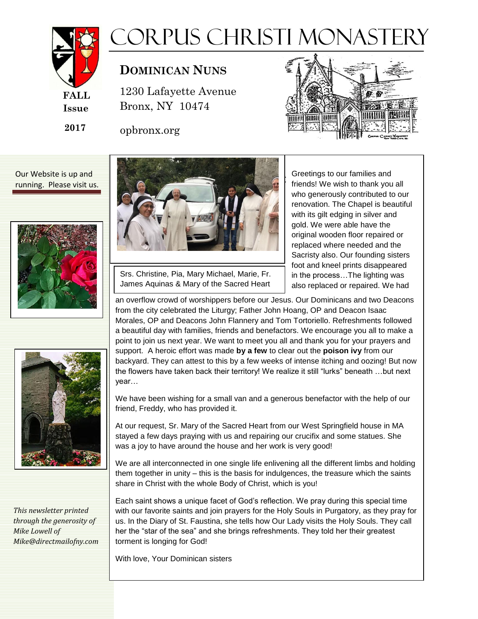

## Corpus Christi Monastery

## **DOMINICAN NUNS**

1230 Lafayette Avenue 1230 Lafayette Avenue Bronx, NY 10474 Bronx, NY 10474

opbronx.org



Our Website is up and running. Please visit us.





*This newsletter printed through the generosity of Mike Lowell of Mike@directmailofny.com*



Srs. Christine, Pia, Mary Michael, Marie, Fr. James Aquinas & Mary of the Sacred Heart Greetings to our families and friends! We wish to thank you all who generously contributed to our renovation. The Chapel is beautiful with its gilt edging in silver and gold. We were able have the original wooden floor repaired or replaced where needed and the Sacristy also. Our founding sisters foot and kneel prints disappeared in the process…The lighting was also replaced or repaired. We had

an overflow crowd of worshippers before our Jesus. Our Dominicans and two Deacons from the city celebrated the Liturgy; Father John Hoang, OP and Deacon Isaac Morales, OP and Deacons John Flannery and Tom Tortoriello. Refreshments followed a beautiful day with families, friends and benefactors. We encourage you all to make a point to join us next year. We want to meet you all and thank you for your prayers and support. A heroic effort was made **by a few** to clear out the **poison ivy** from our backyard. They can attest to this by a few weeks of intense itching and oozing! But now the flowers have taken back their territory! We realize it still "lurks" beneath …but next year…

We have been wishing for a small van and a generous benefactor with the help of our friend, Freddy, who has provided it.

At our request, Sr. Mary of the Sacred Heart from our West Springfield house in MA stayed a few days praying with us and repairing our crucifix and some statues. She was a joy to have around the house and her work is very good!

We are all interconnected in one single life enlivening all the different limbs and holding them together in unity – this is the basis for indulgences, the treasure which the saints share in Christ with the whole Body of Christ, which is you!

Each saint shows a unique facet of God's reflection. We pray during this special time with our favorite saints and join prayers for the Holy Souls in Purgatory, as they pray for us. In the Diary of St. Faustina, she tells how Our Lady visits the Holy Souls. They call her the "star of the sea" and she brings refreshments. They told her their greatest torment is longing for God!

With love, Your Dominican sisters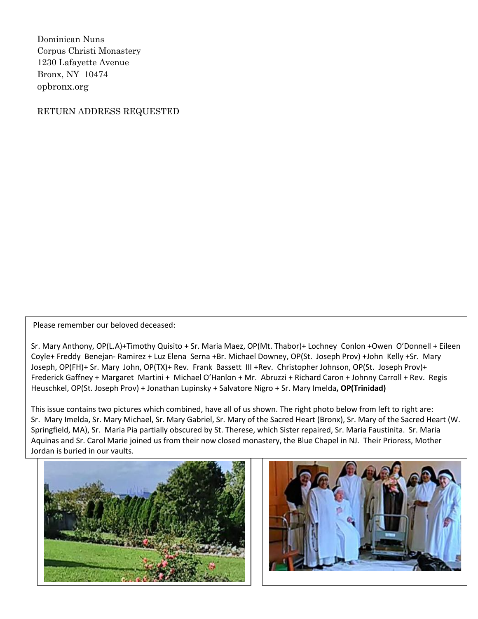Dominican Nuns Corpus Christi Monastery 1230 Lafayette Avenue Bronx, NY 10474 opbronx.org

RETURN ADDRESS REQUESTED

Please remember our beloved deceased:

Sr. Mary Anthony, OP(L.A)+Timothy Quisito + Sr. Maria Maez, OP(Mt. Thabor)+ Lochney Conlon +Owen O'Donnell + Eileen Coyle+ Freddy Benejan- Ramirez + Luz Elena Serna +Br. Michael Downey, OP(St. Joseph Prov) +John Kelly +Sr. Mary Joseph, OP(FH)+ Sr. Mary John, OP(TX)+ Rev. Frank Bassett III +Rev. Christopher Johnson, OP(St. Joseph Prov)+ Frederick Gaffney + Margaret Martini + Michael O'Hanlon + Mr. Abruzzi + Richard Caron + Johnny Carroll + Rev. Regis Heuschkel, OP(St. Joseph Prov) + Jonathan Lupinsky + Salvatore Nigro + Sr. Mary Imelda**, OP(Trinidad)**

This issue contains two pictures which combined, have all of us shown. The right photo below from left to right are: Sr. Mary Imelda, Sr. Mary Michael, Sr. Mary Gabriel, Sr. Mary of the Sacred Heart (Bronx), Sr. Mary of the Sacred Heart (W. Springfield, MA), Sr. Maria Pia partially obscured by St. Therese, which Sister repaired, Sr. Maria Faustinita. Sr. Maria Aquinas and Sr. Carol Marie joined us from their now closed monastery, the Blue Chapel in NJ. Their Prioress, Mother Jordan is buried in our vaults.